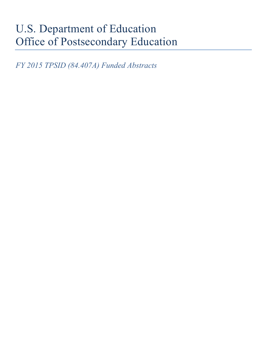# U.S. Department of Education Office of Postsecondary Education

*FY 2015 TPSID (84.407A) Funded Abstracts*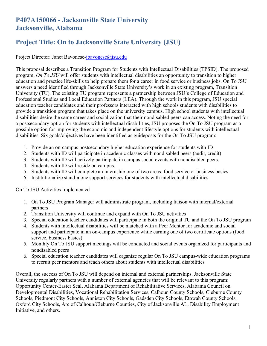# **P407A150066 - Jacksonville State University Jacksonville, Alabama**

# **Project Title: On to Jacksonville State University (JSU)**

Project Director: Janet Bavonese-jbavonese@jsu.edu

This proposal describes a Transition Program for Students with Intellectual Disabilities (TPSID). The proposed program, *On To JSU* will offer students with intellectual disabilities an opportunity to transition to higher education and practice life-skills to help prepare them for a career in food service or business jobs. On To JSU answers a need identified through Jacksonville State University's work in an existing program, Transition University (TU). The existing TU program represents a partnership between JSU's College of Education and Professional Studies and Local Education Partners (LEA). Through the work in this program, JSU special education teacher candidates and their professors interacted with high schools students with disabilities to provide a transition program that takes place on the university campus. High school students with intellectual disabilities desire the same career and socialization that their nondisabled peers can access. Noting the need for a postsecondary option for students with intellectual disabilities, JSU proposes the On To JSU program as a possible option for improving the economic and independent lifestyle options for students with intellectual disabilities. Six goals/objectives have been identified as guideposts for the On To JSU program:

- 1. Provide an on-campus postsecondary higher education experience for students with ID
- 2. Students with ID will participate in academic classes with nondisabled peers (audit, credit)
- 3. Students with ID will actively participate in campus social events with nondisabled peers.
- 4. Students with ID will reside on campus.
- 5. Students with ID will complete an internship one of two areas: food service or business basics
- 6. Institutionalize stand-alone support services for students with intellectual disabilities

#### On To JSU Activities Implemented

- 1. On To JSU Program Manager will administrate program, including liaison with internal/external partners
- 2. Transition University will continue and expand with On To JSU activities
- 3. Special education teacher candidates will participate in both the original TU and the On To JSU program
- 4. Students with intellectual disabilities will be matched with a Peer Mentor for academic and social support and participate in an on-campus experience while earning one of two certificate options (food service, business basics)
- 5. Monthly On To JSU support meetings will be conducted and social events organized for participants and nondisabled peers
- 6. Special education teacher candidates will organize regular On To JSU campus-wide education programs to recruit peer mentors and teach others about students with intellectual disabilities

Overall, the success of On To JSU will depend on internal and external partnerships. Jacksonville State University regularly partners with a number of external agencies that will be relevant to this program: Opportunity Center-Easter Seal, Alabama Department of Rehabilitative Services, Alabama Council on Developmental Disabilities, Vocational Rehabilitation Services, Calhoun County Schools, Cleburne County Schools, Piedmont City Schools, Anniston City Schools, Gadsden City Schools, Etowah County Schools, Oxford City Schools, Arc of Calhoun/Cleburne Counties, City of Jacksonville AL, Disability Employment Initiative, and others.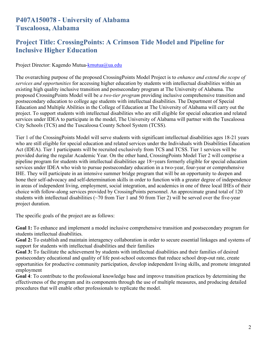#### **P407A150078 - University of Alabama Tuscaloosa, Alabama**

### **Project Title: CrossingPoints: A Crimson Tide Model and Pipeline for Inclusive Higher Education**

Project Director: Kagendo Mutua-kmutua@ua.edu

The overarching purpose of the proposed CrossingPoints Model Project is to *enhance and extend the scope of services and opportunities* for accessing higher education by students with intellectual disabilities within an existing high quality inclusive transition and postsecondary program at The University of Alabama. The proposed CrossingPoints Model will be *a two-tier program* providing inclusive comprehensive transition and postsecondary education to college age students with intellectual disabilities. The Department of Special Education and Multiple Abilities in the College of Education at The University of Alabama will carry out the project. To support students with intellectual disabilities who are still eligible for special education and related services under IDEA to participate in the model, The University of Alabama will partner with the Tuscaloosa City Schools (TCS) and the Tuscaloosa County School System (TCSS).

Tier 1 of the CrossingPoints Model will serve students with significant intellectual disabilities ages 18-21 years who are still eligible for special education and related services under the Individuals with Disabilities Education Act (IDEA). Tier 1 participants will be recruited exclusively from TCS and TCSS. Tier 1 services will be provided during the regular Academic Year. On the other hand, CrossingPoints Model Tier 2 will comprise a pipeline program for students with intellectual disabilities age 18+years formerly eligible for special education services under IDEA who wish to pursue postsecondary education in a two-year, four-year or comprehensive IHE. They will participate in an intensive summer bridge program that will be an opportunity to deepen and hone their self-advocacy and self-determination skills in order to function with a greater degree of independence in areas of independent living, employment, social integration, and academics in one of three local IHEs of their choice with follow-along services provided by CrossingPoints personnel. An approximate grand total of 120 students with intellectual disabilities (~70 from Tier 1 and 50 from Tier 2) will be served over the five-year project duration.

The specific goals of the project are as follows:

**Goal 1:** To enhance and implement a model inclusive comprehensive transition and postsecondary program for students intellectual disabilities.

**Goal 2:** To establish and maintain interagency collaboration in order to secure essential linkages and systems of support for students with intellectual disabilities and their families

**Goal 3:** To facilitate the achievement by students with intellectual disabilities and their families of desired postsecondary educational and quality of life post-school outcomes that reduce school drop-out rate, create opportunities for productive community participation, develop independent living skills, and promote integrated employment

**Goal 4**: To contribute to the professional knowledge base and improve transition practices by determining the effectiveness of the program and its components through the use of multiple measures, and producing detailed procedures that will enable other professionals to replicate the model.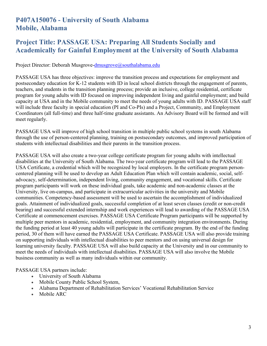#### **P407A150076 - University of South Alabama Mobile, Alabama**

### **Project Title: PASSAGE USA: Preparing All Students Socially and Academically for Gainful Employment at the University of South Alabama**

Project Director: Deborah Musgrove[-dmusgrove@southalabama.edu](mailto:dmusgrove@southalabama.edu)

PASSAGE USA has three objectives: improve the transition process and expectations for employment and postsecondary education for K-12 students with ID in local school districts through the engagement of parents, teachers, and students in the transition planning process; provide an inclusive, college residential, certificate program for young adults with ID focused on improving independent living and gainful employment; and build capacity at USA and in the Mobile community to meet the needs of young adults with ID. PASSAGE USA staff will include three faculty in special education (PI and Co-PIs) and a Project, Community, and Employment Coordinators (all full-time) and three half-time graduate assistants. An Advisory Board will be formed and will meet regularly.

PASSAGE USA will improve of high school transition in multiple public school systems in south Alabama through the use of person-centered planning, training on postsecondary outcomes, and improved participation of students with intellectual disabilities and their parents in the transition process.

PASSAGE USA will also create a two-year college certificate program for young adults with intellectual disabilities at the University of South Alabama. The two-year certificate program will lead to the PASSAGE USA Certificate, a credential which will be recognized by local employers. In the certificate program personcentered planning will be used to develop an Adult Education Plan which will contain academic, social, selfadvocacy, self-determination, independent living, community engagement, and vocational skills. Certificate program participants will work on these individual goals, take academic and non-academic classes at the University, live on-campus, and participate in extracurricular activities in the university and Mobile communities. Competency-based assessment will be used to ascertain the accomplishment of individualized goals. Attainment of individualized goals, successful completion of at least seven classes (credit or non-credit bearing) and successful extended internship and work experiences will lead to awarding of the PASSAGE USA Certificate at commencement exercises. PASSAGE USA Certificate Program participants will be supported by multiple peer mentors in academic, residential, employment, and community integration environments. During the funding period at least 40 young adults will participate in the certificate program. By the end of the funding period, 30 of them will have earned the PASSAGE USA Certificate. PASSAGE USA will also provide training on supporting individuals with intellectual disabilities to peer mentors and on using universal design for learning university faculty. PASSAGE USA will also build capacity at the University and in our community to meet the needs of individuals with intellectual disabilities. PASSAGE USA will also involve the Mobile business community as well as many individuals within our community.

PASSAGE USA partners include:

- University of South Alabama
- Mobile County Public School System,
- Alabama Department of Rehabilitation Services' Vocational Rehabilitation Service
- Mobile ARC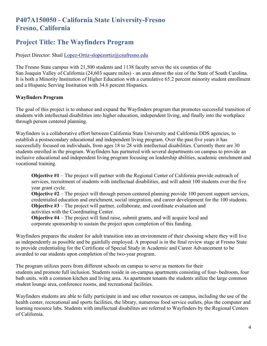# **P407A150050 - California State University-Fresno Fresno, California**

#### **Project Title: The Wayfinders Program**

Project Director: Shail [Lopez-Ortiz-slopezortiz@csufresno.edu](mailto:Lopez-Ortiz-slopezortiz@csufresno.edu)

The Fresno State campus with 21,500 students and 1138 faculty serves the six counties of the San Joaquin Valley of California (24,603 square miles) - an area almost the size of the State of South Carolina. It is both a Minority Institution of Higher Education with a cumulative 65.2 percent minority student enrollment and a Hispanic Serving Institution with 34.6 percent Hispanics.

#### **Wayfinders Program**

The goal of this project is to enhance and expand the Wayfinders program that promotes successful transition of students with intellectual disabilities into higher education, independent living, and finally into the workplace through person centered planning.

Wayfinders is a collaborative effort between California State University and California DDS agencies, to establish a postsecondary educational and independent living program. Over the past five years it has successfully focused on individuals, from ages 18 to 28 with intellectual disabilities. Currently there are 30 students enrolled in the program. Wayfinders has partnered with several departments on campus to provide an inclusive educational and independent living program focusing on leadership abilities, academic enrichment and vocational training.

**Objective #1** – The project will partner with the Regional Center of California provide outreach of services, recruitment of students with intellectual disabilities, and will admit 100 students over the five year grant cycle.

**Objective #2** – The project will through person centered planning provide 100 percent support services, credentialed education and enrichment, social integration, and career development for the 100 students. **Objective #3** – The project will partner, collaborate, and coordinate evaluation and activities with the Coordinating Center.

**Objective #4** – The project will fund raise, submit grants, and will acquire local and corporate sponsorship to sustain the project upon completion of this funding.

Wayfinders prepares the student for adult transition into an environment of their choosing where they will live as independently as possible and be gainfully employed. A proposal is in the final review stage at Fresno State to provide credentialing for the Certificate of Special Study in Academic and Career Advancement to be awarded to our students upon completion of the two-year program.

The program utilizes peers from different schools on campus to serve as mentors for their students and promote full inclusion. Students reside in on-campus apartments consisting of four- bedroom, four bath units, with a common kitchen and living area. As apartment tenants the students utilize the large common student lounge area, conference rooms, and recreational facilities.

Wayfinders students are able to fully participate in and use other resources on campus, including the use of the health center, recreational and sports facilities, the library, numerous food service outlets, plus the computer and learning resource labs. Students with intellectual disabilites are referred to Wayfinders by the Regional Centers of California.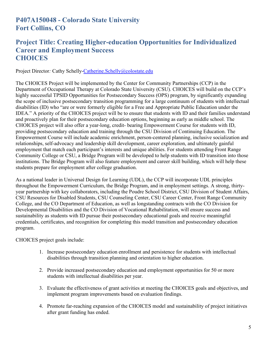### **P407A150048 - Colorado State University Fort Collins, CO**

#### **Project Title: Creating Higher-education Opportunities for Individualized Career and Employment Success CHOICES**

Project Director*:* Cathy Schelly[-Catherine.Schelly@colostate.edu](mailto:Catherine.Schelly@colostate.edu)

The CHOICES Project will be implemented by the Center for Community Partnerships (CCP) in the Department of Occupational Therapy at Colorado State University (CSU). CHOICES will build on the CCP's highly successful TPSID Opportunities for Postsecondary Success (OPS) program, by significantly expanding the scope of inclusive postsecondary transition programming for a large continuum of students with intellectual disabilities (ID) who "are or were formerly eligible for a Free and Appropriate Public Education under the IDEA." A priority of the CHOICES project will be to ensure that students with ID and their families understand and proactively plan for their postsecondary education options, beginning as early as middle school. The CHOICES project will also offer a year-long, credit- bearing Empowerment Course for students with ID, providing postsecondary education and training through the CSU Division of Continuing Education. The Empowerment Course will include academic enrichment, person-centered planning, inclusive socialization and relationships, self-advocacy and leadership skill development, career exploration, and ultimately gainful employment that match each participant's interests and unique abilities. For students attending Front Range Community College or CSU, a Bridge Program will be developed to help students with ID transition into those institutions. The Bridge Program will also feature employment and career skill building, which will help these students prepare for employment after college graduation.

As a national leader in Universal Design for Learning (UDL), the CCP will incorporate UDL principles throughout the Empowerment Curriculum, the Bridge Program, and in employment settings. A strong, thirtyyear partnership with key collaborators, including the Poudre School District, CSU Division of Student Affairs, CSU Resources for Disabled Students, CSU Counseling Center, CSU Career Center, Front Range Community College, and the CO Department of Education, as well as longstanding contracts with the CO Division for Developmental Disabilities and the CO Division of Vocational Rehabilitation, will ensure success and sustainability as students with ID pursue their postsecondary educational goals and receive meaningful credentials, certificates, and recognition for completing this model transition and postsecondary education program.

CHOICES project goals include:

- 1. Increase postsecondary education enrollment and persistence for students with intellectual disabilities through transition planning and orientation to higher education.
- 2. Provide increased postsecondary education and employment opportunities for 50 or more students with intellectual disabilities per year.
- 3. Evaluate the effectiveness of grant activities at meeting the CHOICES goals and objectives, and implement program improvements based on evaluation findings.
- 4. Promote far-reaching expansion of the CHOICES model and sustainability of project initiatives after grant funding has ended.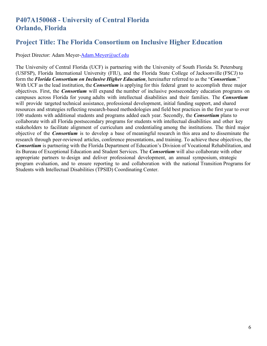#### **P407A150068 - University of Central Florida Orlando, Florida**

#### **Project Title: The Florida Consortium on Inclusive Higher Education**

Project Director: Adam Meyer[-Adam.Meyer@ucf.edu](mailto:Adam.Meyer@ucf.edu)

The University of Central Florida (UCF) is partnering with the University of South Florida St. Petersburg (USFSP), Florida International University (FIU), and the Florida State College of Jacksonville (FSCJ) to form the *Florida Consortium on Inclusive Higher Education*, hereinafter referred to as the "*Consortium*." With UCF as the lead institution, the *Consortium* is applying for this federal grant to accomplish three major objectives. First, the *Consortium* will expand the number of inclusive postsecondary education programs on campuses across Florida for young adults with intellectual disabilities and their families. The *Consortium* will provide targeted technical assistance, professional development, initial funding support, and shared resources and strategies reflecting research-based methodologies and field best practices in the first year to over 100 students with additional students and programs added each year. Secondly, the *Consortium* plans to collaborate with all Florida postsecondary programs for students with intellectual disabilities and other key stakeholders to facilitate alignment of curriculum and credentialing among the institutions. The third major objective of the *Consortium* is to develop a base of meaningful research in this area and to disseminate the research through peer-reviewed articles, conference presentations, and training. To achieve these objectives, the *Consortium* is partnering with the Florida Department of Education's Division of Vocational Rehabilitation, and its Bureau of Exceptional Education and Student Services. The *Consortium* will also collaborate with other appropriate partners to design and deliver professional development, an annual symposium, strategic program evaluation, and to ensure reporting to and collaboration with the national Transition Programs for Students with Intellectual Disabilities (TPSID) Coordinating Center.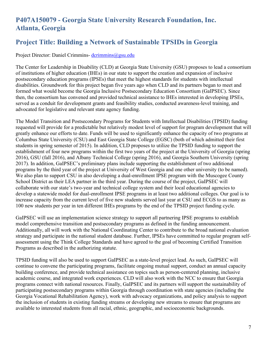# **P407A150079 - Georgia State University Research Foundation, Inc. Atlanta, Georgia**

### **Project Title: Building a Network of Sustainable TPSIDs in Georgia**

#### Project Director: Daniel Crimmins- [dcrimmins@gsu.edu](mailto:dcrimmins@gsu.edu)

The Center for Leadership in Disability (CLD) at Georgia State University (GSU) proposes to lead a consortium of institutions of higher education (IHEs) in our state to support the creation and expansion of inclusive postsecondary education programs (IPSEs) that meet the highest standards for students with intellectual disabilities. Groundwork for this project began five years ago when CLD and its partners began to meet and formed what would become the Georgia Inclusive Postsecondary Education Consortium (GaIPSEC). Since then, the consortium has convened and provided technical assistance to IHEs interested in developing IPSEs, served as a conduit for development grants and feasibility studies, conducted awareness-level training, and advocated for legislative and relevant state agency funding.

The Model Transition and Postsecondary Programs for Students with Intellectual Disabilities (TPSID) funding requested will provide for a predictable but relatively modest level of support for program development that will greatly enhance our efforts to date. Funds will be used to significantly enhance the capacity of two programs at Columbus State University (CSU) and East Georgia State College (EGSC) (both of which admitted their first students in spring semester of 2015). In addition, CLD proposes to utilize the TPSID funding to support the establishment of four new programs within the first two years of the project at the University of Georgia (spring 2016), GSU (fall 2016), and Albany Technical College (spring 2016), and Georgia Southern University (spring 2017). In addition, GaIPSEC's preliminary plans include supporting the establishment of two additional programs by the third year of the project at University of West Georgia and one other university (to be named). We also plan to support CSU in also developing a dual-enrollment IPSE program with the Muscogee County School District as their LEA partner in the third year. During the course of the project, GaIPSEC will collaborate with our state's two-year and technical college system and their local educational agencies to develop a statewide model for dual-enrollment IPSE programs in at least two additional colleges. Our goal is to increase capacity from the current level of five new students served last year at CSU and ECGS to as many as 100 new students per year in ten different IHEs programs by the end of the TPSID project funding cycle.

GaIPSEC will use an implementation science strategy to support all partnering IPSE programs to establish model comprehensive transition and postsecondary programs as defined in the funding announcement. Additionally, all will work with the National Coordinating Center to contribute to the broad national evaluation strategy and participate in the national student database. Further, IPSEs have committed to regular program selfassessment using the Think College Standards and have agreed to the goal of becoming Certified Transition Programs as described in the authorizing statute.

TPSID funding will also be used to support GaIPSEC as a state-level project lead. As such, GaIPSEC will continue to convene the participating programs, facilitate ongoing mutual support, conduct an annual capacity building conference, and provide technical assistance on topics such as person-centered planning, inclusive academic course, and integrated work experiences. CLD will also work with the NCC to ensure that Georgia programs connect with national resources. Finally, GaIPSEC and its partners will support the sustainability of participating postsecondary programs within Georgia through coordination with state agencies (including the Georgia Vocational Rehabilitation Agency), work with advocacy organizations, and policy analysis to support the inclusion of students in existing funding streams or developing new streams to ensure that programs are available to interested students from all racial, ethnic, geographic, and socioeconomic backgrounds.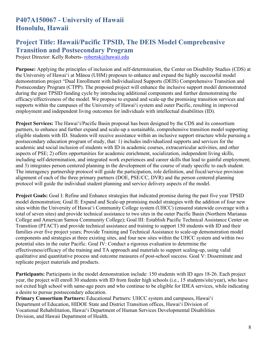### **P407A150067 - University of Hawaii Honolulu, Hawaii**

### **Project Title: Hawaii/Pacific TPSID, The DEIS Model Comprehensive Transition and Postsecondary Program**

Project Director: Kelly Roberts- [robertsk@hawaii.edu](mailto:robertsk@hawaii.edu)

**Purpose:** Applying the principles of inclusion and self-determination, the Center on Disability Studies (CDS) at the University of Hawai'i at Mānoa (UHM) proposes to enhance and expand the highly successful model demonstration project "Dual Enrollment with Individualized Supports (DEIS) Comprehensive Transition and Postsecondary Program (CTPP). The proposed project will enhance the inclusive support model demonstrated during the past TPSID funding cycle by introducing additional components and further demonstrating the efficacy/effectiveness of the model. We propose to expand and scale-up the promising transition services and supports within the campuses of the University of Hawai'i system and outer Pacific, resulting in improved employment and independent living outcomes for individuals with intellectual disabilities (ID).

**Project Services:** The Hawai'i/Pacific Basin proposal has been designed by the CDS and its consortium partners, to enhance and further expand and scale-up a sustainable, comprehensive transition model supporting eligible students with ID. Students will receive assistance within an inclusive support structure while pursuing a postsecondary education program of study, that: 1) includes individualized supports and services for the academic and social inclusion of students with ID in academic courses, extracurricular activities, and other aspects of PSE; 2) offers opportunities for academic enrichment, socialization, independent living skills, including self-determination, and integrated work experiences and career skills that lead to gainful employment; and 3) integrates person centered planning in the development of the course of study specific to each student. The interagency partnership protocol will guide the participation, role definition, and fiscal/service provision alignment of each of the three primary partners (DOE, PSE/CC, DVR) and the person centered planning protocol will guide the individual student planning and service delivery aspects of the model.

**Project Goals:** Goal I: Refine and Enhance strategies that indicated promise during the past five year TPSID model demonstration; Goal II: Expand and Scale-up promising model strategies with the addition of four new sites within the University of Hawai'i Community College system (UHCC) (ensured statewide coverage with a total of seven sites) and provide technical assistance to two sites in the outer Pacific Basin (Northern Marianas College and American Samoa Community College); Goal III: Establish Pacific Technical Assistance Center on Transition (PTACT) and provide technical assistance and training to support 150 students with ID and their families over five project years; Provide Training and Technical Assistance to scale-up demonstration model components and strategies at three existing sites, and four new sites within the UHCC system and within two potential sites in the outer Pacific. Goal IV: Conduct a rigorous evaluation to determine the effectiveness/efficacy of the training and TA approach and materials to support scaling-up, using valid qualitative and quantitative process and outcome measures of post-school success. Goal V: Disseminate and replicate project materials and products.

**Participants:** Participants in the model demonstration include: 150 students with ID ages 18-26. Each project year, the project will enroll 30 students with ID from feeder high schools (i.e., 15 students/site/year), who have not exited high school with same-age peers and who continue to be eligible for IDEA services, while indicating a desire to pursue postsecondary education.

**Primary Consortium Partners:** Educational Partners: UHCC system and campuses, Hawai'i Department of Education, HIDOE State and District Transition offices, Hawai'i Division of Vocational Rehabilitation, Hawai'i Department of Human Services Developmental Disabilities Division, and Hawaii Department of Health.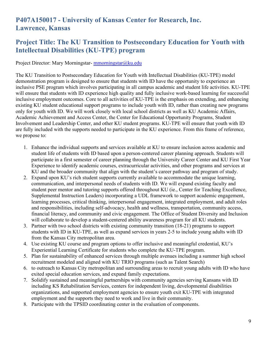# **P407A150017 - University of Kansas Center for Research, Inc. Lawrence, Kansas**

#### **Project Title: The KU Transition to Postsecondary Education for Youth with Intellectual Disabilities (KU-TPE) program**

Project Director: Mary Morningstar- [mmorningstar@ku.edu](mailto:mmorningstar@ku.edu)

The KU Transition to Postsecondary Education for Youth with Intellectual Disabilities (KU-TPE) model demonstration program is designed to ensure that students with ID have the opportunity to experience an inclusive PSE program which involves participating in all campus academic and student life activities. KU-TPE will ensure that students with ID experience high quality and fully inclusive work-based learning for successful inclusive employment outcomes. Core to all activities of KU-TPE is the emphasis on extending, and enhancing existing KU student educational support programs to include youth with ID, rather than creating new programs only for youth with ID. We will work closely with local school districts as well as KU Academic Affairs, Academic Achievement and Access Center, the Center for Educational Opportunity Programs, Student Involvement and Leadership Center, and other KU student programs. KU-TPE will ensure that youth with ID are fully included with the supports needed to participate in the KU experience. From this frame of reference, we propose to:

- 1. Enhance the individual supports and services available at KU to ensure inclusion across academic and student life of students with ID based upon a person-centered career planning approach. Students will participate in a first semester of career planning through the University Career Center and KU First Year Experience to identify academic courses, extracurricular activities, and other programs and services at KU and the broader community that align with the student's career pathway and program of study.
- 2. Expand upon KU's rich student supports currently available to accommodate the unique learning, communication, and interpersonal needs of students with ID. We will expand existing faculty and student peer mentor and tutoring supports offered throughout KU (ie., Center for Teaching Excellence, Supplemental Instruction Leaders) incorporating a UDL framework to support academic engagement, learning processes, critical thinking, interpersonal engagement, integrated employment, and adult roles and responsibilities, including self-advocacy, health and wellness, transportation, community access, financial literacy, and community and civic engagement. The Office of Student Diversity and Inclusion will collaborate to develop a student-centered ability awareness program for all KU students.
- 3. Partner with two school districts with existing community transition (18-21) programs to support students with ID in KU-TPE, as well as expand services in years 2-5 to include young adults with ID from the Kansas City metropolitan area.
- 4. Use existing KU course and program options to offer inclusive and meaningful credential, KU's Experiential Learning Certificate for students who complete the KU-TPE program.
- 5. Plan for sustainability of enhanced services through multiple avenues including a summer high school recruitment modeled and aligned with KU TRIO programs (such as Talent Search)
- 6. to outreach to Kansas City metropolitan and surrounding areas to recruit young adults with ID who have exited special education services, and expand family expectations.
- 7. Solidify sustained and meaningful partnerships with community agencies serving Kansans with ID including KS Rehabilitation Services, centers for independent living, developmental disabilities organizations, and supported employment agencies to ensure youth exit KU-TPE with integrated employment and the supports they need to work and live in their community.
- 8. Participate with the TPSID coordinating center in the evaluation of components.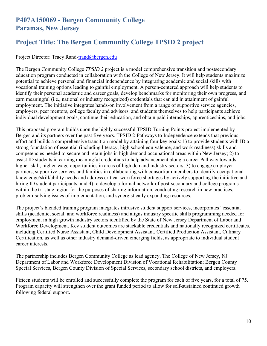#### **P407A150069 - Bergen Community College Paramas, New Jersey**

# **Project Title: The Bergen Community College TPSID 2 project**

Project Director: Tracy Rand[-trand@bergen.edu](mailto:trand@bergen.edu)

The Bergen Community College *TPSID 2* project is a model comprehensive transition and postsecondary education program conducted in collaboration with the College of New Jersey. It will help students maximize potential to achieve personal and financial independence by integrating academic and social skills with vocational training options leading to gainful employment. A person-centered approach will help students to identify their personal academic and career goals, develop benchmarks for monitoring their own progress, and earn meaningful (i.e., national or industry recognized) credentials that can aid in attainment of gainful employment. The initiative integrates hands-on involvement from a range of supportive service agencies, employers, peer mentors, college faculty and advisors, and students themselves to help participants achieve individual development goals, continue their education, and obtain paid internships, apprenticeships, and jobs.

This proposed program builds upon the highly successful TPSID Turning Points project implemented by Bergen and its partners over the past five years. TPSID 2-Pathways to Independence extends that previous effort and builds a comprehensive transition model by attaining four key goals: 1) to provide students with ID a strong foundation of essential (including literacy, high school equivalence, and work readiness) skills and competencies needed to secure and retain jobs in high demand occupational areas within New Jersey; 2) to assist ID students in earning meaningful credentials to help advancement along a career Pathway towards higher-skill, higher-wage opportunities in areas of high demand industry sectors; 3) to engage employer partners, supportive services and families in collaborating with consortium members to identify occupational knowledge/skill/ability needs and address critical workforce shortages by actively supporting the initiative and hiring ID student participants; and 4) to develop a formal network of post-secondary and college programs within the tri-state region for the purposes of sharing information, conducting research in new practices, problem-solving issues of implementation, and synergistically expanding resources.

The project's blended training program integrates intrusive student support services, incorporates "essential skills (academic, social, and workforce readiness) and aligns industry specific skills programming needed for employment in high growth industry sectors identified by the State of New Jersey Department of Labor and Workforce Development. Key student outcomes are stackable credentials and nationally recognized certificates, including Certified Nurse Assistant, Child Development Assistant, Certified Production Assistant, Culinary Certification, as well as other industry demand-driven emerging fields, as appropriate to individual student career interests.

The partnership includes Bergen Community College as lead agency, The College of New Jersey, NJ Department of Labor and Workforce Development Division of Vocational Rehabilitation; Bergen County Special Services, Bergen County Division of Special Services, secondary school districts, and employers.

Fifteen students will be enrolled and successfully complete the program for each of five years, for a total of 75. Program capacity will strengthen over the grant funded period to allow for self-sustained continued growth following federal support.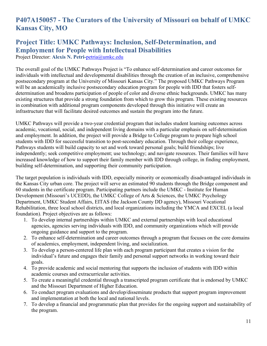# **P407A150057 - The Curators of the University of Missouri on behalf of UMKC Kansas City, MO**

# **Project Title: UMKC Pathways: Inclusion, Self-Determination, and Employment for People with Intellectual Disabilities**

Project Director: **Alexis N. Petri-**[petria@umkc.edu](mailto:petria@umkc.edu)

The overall goal of the UMKC Pathways Project is "To enhance self-determination and career outcomes for individuals with intellectual and developmental disabilities through the creation of an inclusive, comprehensive postsecondary program at the University of Missouri Kansas City." The proposed UMKC Pathways Program will be an academically inclusive postsecondary education program for people with IDD that fosters selfdetermination and broadens participation of people of color and diverse ethnic backgrounds. UMKC has many existing structures that provide a strong foundation from which to grow this program. These existing resources in combination with additional program components developed through this initiative will create an infrastructure that will facilitate desired outcomes and sustain the program into the future.

UMKC Pathways will provide a two-year credential program that includes student learning outcomes across academic, vocational, social, and independent living domains with a particular emphasis on self-determination and employment. In addition, the project will provide a Bridge to College program to prepare high school students with IDD for successful transition to post-secondary education. Through their college experience, Pathways students will build capacity to set and work toward personal goals; build friendships; live independently; seek competitive employment; use technology; and navigate resources. Their families will have increased knowledge of how to support their family member with IDD through college, in finding employment, building self-determination, and supporting their community participation.

The target population is individuals with IDD, especially minority or economically disadvantaged individuals in the Kansas City urban core. The project will serve an estimated 90 students through the Bridge component and 60 students in the certificate program. Participating partners include the UMKC - Institute for Human Development (Missouri's UCEDD), the UMKC College of Arts & Sciences, the UMKC Psychology Department, UMKC Student Affairs, EITAS (the Jackson County DD agency), Missouri Vocational Rehabilitation, three local school districts, and local organizations including the YMCA and EXCEL (a local foundation). Project objectives are as follows:

- 1. To develop internal partnerships within UMKC and external partnerships with local educational agencies, agencies serving individuals with IDD, and community organizations which will provide ongoing guidance and support to the program.
- 2. To enhance self-determination and career outcomes through a program that focuses on the core domains of academics, employment, independent living, and socialization.
- 3. To develop a person-centered life plan with each program participant that creates a vision for the individual's future and engages their family and personal support networks in working toward their goals.
- 4. To provide academic and social mentoring that supports the inclusion of students with IDD within academic courses and extracurricular activities.
- 5. To create a meaningful credential through a transcripted program certificate that is endorsed by UMKC and the Missouri Department of Higher Education.
- 6. To conduct program evaluations and develop/disseminate products that support program improvement and implementation at both the local and national levels.
- 7. To develop a financial and programmatic plan that provides for the ongoing support and sustainability of the program.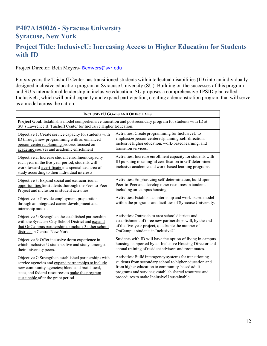# **P407A150026 - Syracuse University Syracuse, New York**

#### **Project Title: InclusiveU: Increasing Access to Higher Education for Students with ID**

#### Project Director: Beth Meyers- [Bemyers@syr.edu](mailto:Bemyers@syr.edu)

For six years the Taishoff Center has transitioned students with intellectual disabilities (ID) into an individually designed inclusive education program at Syracuse University (SU). Building on the successes of this program and SU's international leadership in inclusive education, SU proposes a comprehensive TPSID plan called InclusiveU, which will build capacity and expand participation, creating a demonstration program that will serve as a model across the nation.

| <b>INCLUSIVEU GOALS AND OBJECTIVES</b>                                                                                                                                                                        |                                                                                                                                                                               |
|---------------------------------------------------------------------------------------------------------------------------------------------------------------------------------------------------------------|-------------------------------------------------------------------------------------------------------------------------------------------------------------------------------|
| Project Goal: Establish a model comprehensive transition and postsecondary program for students with ID at<br>SU's Lawrence B. Taishoff Center for Inclusive Higher Education.                                |                                                                                                                                                                               |
| Objective 1: Create service capacity for students with                                                                                                                                                        | Activities: Create programming for InclusiveU to                                                                                                                              |
| ID through new programming with an enhanced                                                                                                                                                                   | emphasize person-centered planning, self-direction,                                                                                                                           |
| person-centered planning process focused on                                                                                                                                                                   | inclusive higher education, work-based learning, and                                                                                                                          |
| academic courses and academic enrichment                                                                                                                                                                      | transition services.                                                                                                                                                          |
| Objective 2: Increase student enrollment capacity<br>each year of the five-year period; students will<br>work toward a certificate in a specialized area of<br>study according to their individual interests. | Activities: Increase enrollment capacity for students with<br>ID pursuing meaningful certification in self-determined<br>inclusive academic and work-based learning programs. |
| Objective 3: Expand social and extracurricular                                                                                                                                                                | Activities: Emphasizing self-determination, build upon                                                                                                                        |
| opportunities for students thorough the Peer-to-Peer                                                                                                                                                          | Peer-to-Peer and develop other resources in tandem,                                                                                                                           |
| Project and inclusion in student activities.                                                                                                                                                                  | including on-campus housing.                                                                                                                                                  |
| Objective 4: Provide employment preparation<br>through an integrated career development and<br>internship model.                                                                                              | Activities: Establish an internship and work-based model<br>within the programs and facilities of Syracuse University.                                                        |
| Objective 5: Strengthen the established partnership                                                                                                                                                           | Activities: Outreach to area school districts and                                                                                                                             |
| with the Syracuse City School District and expand                                                                                                                                                             | establishment of three new partnerships will, by the end                                                                                                                      |
| that OnCampus partnership to include 3 other school                                                                                                                                                           | of the five-year project, quadruple the number of                                                                                                                             |
| districts in Central New York.                                                                                                                                                                                | OnCampus students in InclusiveU.                                                                                                                                              |
| Objective 6: Offer inclusive dorm experience in                                                                                                                                                               | Students with ID will have the option of living in campus                                                                                                                     |
| which Inclusive U students live and study amongst                                                                                                                                                             | housing, supported by an Inclusive Housing Director and                                                                                                                       |
| their university peers.                                                                                                                                                                                       | annual training of resident advisors and roommates.                                                                                                                           |
| Objective 7: Strengthen established partnerships with                                                                                                                                                         | Activities: Build interagency systems for transitioning                                                                                                                       |
| service agencies and expand partnerships to include                                                                                                                                                           | students from secondary school to higher education and                                                                                                                        |
| new community agencies; blend and braid local,                                                                                                                                                                | from higher education to community-based adult                                                                                                                                |
| state, and federal resources to make the program                                                                                                                                                              | programs and services; establish shared resources and                                                                                                                         |
| sustainable after the grant period.                                                                                                                                                                           | procedures to make InclusiveU sustainable.                                                                                                                                    |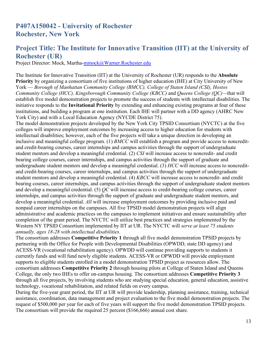#### **Project Title: The Institute for Innovative Transition (IIT) at the University of Rochester (UR)**

Project Director: Mock, Martha-mmock@Warner.Rochester.edu

The Institute for Innovative Transition (IIT) at the University of Rochester (UR) responds to the **Absolute Priority** by organizing a consortium of five institutions of higher education (IHE) at City University of New York — *Borough of Manhattan Community College (BMCC), College of Staten Island (CSI), Hostos Community College (HCC), Kingsborough Community College (KBCC)* and *Queens College (QC)—*that will establish five model demonstration projects to promote the success of students with intellectual disabilities. The initiative responds to the **Invitational Priority** by extending and enhancing existing programs at four of these institutions, and building a program at one institution. Each IHE will partner with a DD agency (AHRC New York City) and with a Local Education Agency (NYCDE District 75).

The model demonstration projects developed by the New York City TPSID Consortium (NYCTC) at the five colleges will improve employment outcomes by increasing access to higher education for students with intellectual disabilities; however, each of the five projects will take a unique direction in developing an inclusive and meaningful college program. (1) *BMCC* will establish a program and provide access to noncreditand credit-bearing courses, career internships and campus activities through the support of undergraduate student mentors and develop a meaningful credential. (2) *CSI* will increase access to noncredit- and credit bearing college courses, career internships, and campus activities through the support of graduate and undergraduate student mentors and develop a meaningful credential. (3) *HCC* will increase access to noncreditand credit-bearing courses, career internships, and campus activities through the support of undergraduate student mentors and develop a meaningful credential. (4) *KBCC* will increase access to noncredit- and credit bearing courses, career internships, and campus activities through the support of undergraduate student mentors and develop a meaningful credential. (5) *QC* will increase access to credit-bearing college courses, career internships, and campus activities through the support of graduate and undergraduate student mentors, and develop a meaningful credential. *All* will increase employment outcomes by providing inclusive paid and nonpaid career internships on the campuses. All five TPSID model demonstration projects will align administrative and academic practices on the campuses to implement initiatives and ensure sustainability after completion of the grant period. The NYCTC will utilize best practices and strategies implemented by the Western NY TPSID Consortium implemented by IIT at UR. The NYCTC will *serve at least 75 students annually, ages 18-28 with intellectual disabilities.*

The consortium addresses **Competitive Priority 1** through all five model demonstration TPSID projects by partnering with the Office for People with Developmental Disabilities (OPWDD, state DD agency) and ACESS-VR (vocational rehabilitation agency). OPWDD will continue providing supports to students it currently funds and will fund newly eligible students. ACESS-VR or OPWDD will provide employment supports to eligible students enrolled in a model demonstration TPSID project as resources allow. The consortium addresses **Competitive Priority 2** through housing pilots at College of Staten Island and Queens College, the only two IHEs to offer on-campus housing. The consortium addresses **Competitive Priority 3**  through all five projects, by involving students who are studying special education, general education, assistive technology, vocational rehabilitation, and related fields on every campus.

During the five-year grant period, the IIT at UR will provide leadership, planning assistance, training, technical assistance, coordination, data management and project evaluation to the five model demonstration projects. The request of \$500,000 per year for each of five years will support the five model demonstration TPSID projects. The consortium will provide the required 25 percent (\$166,666) annual cost share.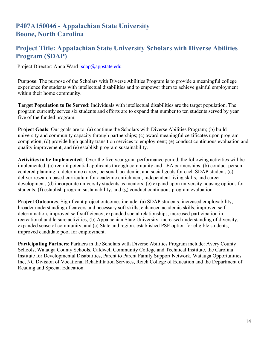#### **Project Title: Appalachian State University Scholars with Diverse Abilities Program (SDAP)**

Project Director: Anna Ward- [sdap@appstate.edu](mailto:sdap@appstate.edu)

**Purpose**: The purpose of the Scholars with Diverse Abilities Program is to provide a meaningful college experience for students with intellectual disabilities and to empower them to achieve gainful employment within their home community.

**Target Population to Be Served**: Individuals with intellectual disabilities are the target population. The program currently serves six students and efforts are to expand that number to ten students served by year five of the funded program.

**Project Goals**: Our goals are to: (a) continue the Scholars with Diverse Abilities Program; (b) build university and community capacity through partnerships; (c) award meaningful certificates upon program completion; (d) provide high quality transition services to employment; (e) conduct continuous evaluation and quality improvement; and (e) establish program sustainability.

**Activities to be Implemented**: Over the five year grant performance period, the following activities will be implemented: (a) recruit potential applicants through community and LEA partnerships; (b) conduct personcentered planning to determine career, personal, academic, and social goals for each SDAP student; (c) deliver research based curriculum for academic enrichment, independent living skills, and career development; (d) incorporate university students as mentors; (e) expand upon university housing options for students; (f) establish program sustainability; and (g) conduct continuous program evaluation.

**Project Outcomes**: Significant project outcomes include: (a) SDAP students: increased employability, broader understanding of careers and necessary soft skills, enhanced academic skills, improved selfdetermination, improved self-sufficiency, expanded social relationships, increased participation in recreational and leisure activities; (b) Appalachian State University: increased understanding of diversity, expanded sense of community, and (c) State and region: established PSE option for eligible students, improved candidate pool for employment.

**Participating Partners**: Partners in the Scholars with Diverse Abilities Program include: Avery County Schools, Watauga County Schools, Caldwell Community College and Technical Institute, the Carolina Institute for Developmental Disabilities, Parent to Parent Family Support Network, Watauga Opportunities Inc, NC Division of Vocational Rehabilitation Services, Reich College of Education and the Department of Reading and Special Education.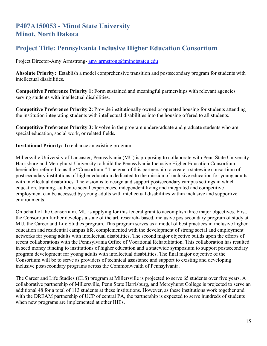# **P407A150053 - Minot State University Minot, North Dakota**

# **Project Title: Pennsylvania Inclusive Higher Education Consortium**

Project Director-Amy Armstrong- amy.armstrong@minotstateu.edu

**Absolute Priority:** Establish a model comprehensive transition and postsecondary program for students with intellectual disabilities.

**Competitive Preference Priority 1:** Form sustained and meaningful partnerships with relevant agencies serving students with intellectual disabilities.

**Competitive Preference Priority 2:** Provide institutionally owned or operated housing for students attending the institution integrating students with intellectual disabilities into the housing offered to all students.

**Competitive Preference Priority 3:** Involve in the program undergraduate and graduate students who are special education, social work, or related fields**.**

**Invitational Priority:** To enhance an existing program.

Millersville University of Lancaster, Pennsylvania (MU) is proposing to collaborate with Penn State University-Harrisburg and Mercyhurst University to build the Pennsylvania Inclusive Higher Education Consortium, hereinafter referred to as the "Consortium." The goal of this partnership to create a statewide consortium of postsecondary institutions of higher education dedicated to the mission of inclusive education for young adults with intellectual disabilities. The vision is to design and support postsecondary campus settings in which education, training, authentic social experiences, independent living and integrated and competitive employment can be accessed by young adults with intellectual disabilities within inclusive and supportive environments.

On behalf of the Consortium, MU is applying for this federal grant to accomplish three major objectives. First, the Consortium further develops a state of the art, research- based, inclusive postsecondary program of study at MU, the Career and Life Studies program. This program serves as a model of best practices in inclusive higher education and residential campus life, complemented with the development of strong social and employment networks for young adults with intellectual disabilities. The second major objective builds upon the efforts of recent collaborations with the Pennsylvania Office of Vocational Rehabilitation. This collaboration has resulted in seed money funding to institutions of higher education and a statewide symposium to support postsecondary program development for young adults with intellectual disabilities. The final major objective of the Consortium will be to serve as providers of technical assistance and support to existing and developing inclusive postsecondary programs across the Commonwealth of Pennsylvania.

The Career and Life Studies (CLS) program at Millersville is projected to serve 65 students over five years. A collaborative partnership of Millersville, Penn State Harrisburg, and Mercyhurst College is projected to serve an additional 48 for a total of 113 students at these institutions. However, as these institutions work together and with the DREAM partnership of UCP of central PA, the partnership is expected to serve hundreds of students when new programs are implemented at other IHEs.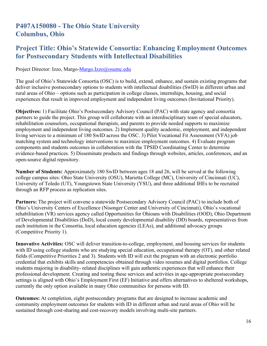# **P407A150080 - The Ohio State University Columbus, Ohio**

#### **Project Title: Ohio's Statewide Consortia: Enhancing Employment Outcomes for Postsecondary Students with Intellectual Disabilities**

#### Project Director: Izzo, Margo-Margo.Izzo@osumc.edu

The goal of Ohio's Statewide Consortia (OSC) is to build, extend, enhance, and sustain existing programs that deliver inclusive postsecondary options to students with intellectual disabilities (SwID) in different urban and rural areas of Ohio – options such as participation in college classes, internships, housing, and social experiences that result in improved employment and independent living outcomes (Invitational Priority).

**Objectives:** 1) Facilitate Ohio's Postsecondary Advisory Council (PAC) with state agency and consortia partners to guide the project. This group will collaborate with an interdisciplinary team of special educators, rehabilitation counselors, occupational therapists, and parents to provide needed supports to maximize employment and independent living outcomes. 2) Implement quality academic, employment, and independent living services to a minimum of 180 SwID across the OSC. 3) Pilot Vocational Fit Assessment (VFA) job matching system and technology interventions to maximize employment outcomes. 4) Evaluate program components and students outcomes in collaboration with the TPSID Coordinating Center to determine evidence-based practices. 5) Disseminate products and findings through websites, articles, conferences, and an open-source digital repository.

**Number of Students:** Approximately 180 SwID between ages 18 and 26, will be served at the following college campus sites: Ohio State University (OSU), Marietta College (MC), University of Cincinnati (UC), University of Toledo (UT), Youngstown State University (YSU), and three additional IHEs to be recruited through an RFP process as replication sites.

**Partners:** The project will convene a statewide Postsecondary Advisory Council (PAC) to include both of Ohio's University Centers of Excellence (Nisonger Center and University of Cincinnati), Ohio's vocational rehabilitation (VR) services agency called Opportunities for Ohioans with Disabilities (OOD), Ohio Department of Developmental Disabilities (DoD), local county developmental disability (DD) boards, representatives from each institution in the Consortia, local education agencies (LEAs), and additional advocacy groups (Competitive Priority 1).

**Innovative Activities:** OSC will deliver transition-to-college, employment, and housing services for students with ID using college students who are studying special education, occupational therapy (OT), and other related fields (Competitive Priorities 2 and 3). Students with ID will exit the program with an electronic portfolio credential that exhibits skills and competencies obtained through video resumes and digital portfolios. College students majoring in disability- related disciplines will gain authentic experiences that will enhance their professional development. Creating and testing these services and activities in age-appropriate postsecondary settings is aligned with Ohio's Employment First (EF) Initiative and offers alternatives to sheltered workshops, currently the only option available in many Ohio communities for persons with ID.

**Outcomes:** At completion, eight postsecondary programs that are designed to increase academic and community employment outcomes for students with ID in different urban and rural areas of Ohio will be sustained through cost-sharing and cost-recovery models involving multi-site partners.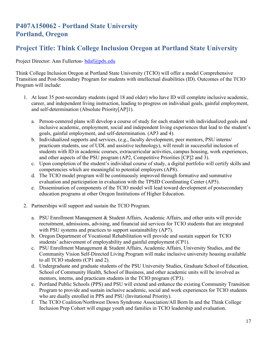# **P407A150062 - Portland State University Portland, Oregon**

# **Project Title: Think College Inclusion Oregon at Portland State University**

Project Director: Ann Fullerton- bdaf@pdx.edu

Think College Inclusion Oregon at Portland State University (TCIO) will offer a model Comprehensive Transition and Post-Secondary Program for students with intellectual disabilities (ID). Outcomes of the TCIO Program will include:

- 1. At least 35 post-secondary students (aged 18 and older) who have ID will complete inclusive academic, career, and independent living instruction, leading to progress on individual goals, gainful employment, and self-determination (Absolute Priority[AP]1).
	- a. Person-centered plans will develop a course of study for each student with individualized goals and inclusive academic, employment, social and independent living experiences that lead to the student's goals, gainful employment, and self-determination. (AP3 and 4).
	- b. Individualized supports and services, (e.g., faculty development, peer mentors, PSU interns/ practicum students, use of UDL and assistive technology), will result in successful inclusion of students with ID in academic courses, extracurricular activities, campus housing, work experiences, and other aspects of the PSU program (AP2, Competitive Priorities [CP]2 and 3).
	- c. Upon completion of the student's individual course of study, a digital portfolio will certify skills and competencies which are meaningful to potential employers (AP8).
	- d. The TCIO model program will be continuously improved through formative and summative evaluation and participation in evaluation with the TPSID Coordinating Center (AP5).
	- e. Dissemination of components of the TCIO model will lead toward development of postsecondary education programs at other Oregon Institutions of Higher Education.
- 2. Partnerships will support and sustain the TCIO Program.
	- a. PSU Enrollment Management & Student Affairs, Academic Affairs, and other units will provide recruitment, admissions, advising, and financial aid services for TCIO students that are integrated with PSU systems and practices to support sustainability (AP7).
	- b. Oregon Department of Vocational Rehabilitation will provide and sustain support for TCIO students' achievement of employability and gainful employment (CP1).
	- c. PSU Enrollment Management & Student Affairs, Academic Affairs, University Studies, and the Community Vision Self-Directed Living Program will make inclusive university housing available to all TCIO students (CP1 and 2).
	- d. Undergraduate and graduate students of the PSU University Studies, Graduate School of Education, School of Community Health, School of Business, and other academic units will be involved as mentors, interns, and practicum students in the TCIO program (CP3).
	- e. Portland Public Schools (PPS) and PSU will extend and enhance the existing Community Transition Program to provide and sustain inclusive academic, social and work experiences for TCIO students who are dually enrolled in PPS and PSU (Invitational Priority).
	- f. The TCIO Coalition/Northwest Down Syndrome Association/All Born In and the Think College Inclusion Prep Cohort will engage youth and families in TCIO leadership and evaluation.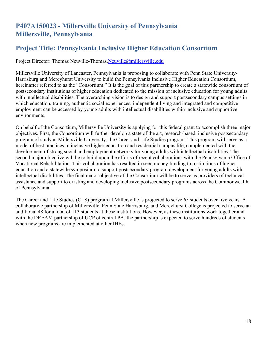# **P407A150023 - Millersville University of Pennsylvania Millersville, Pennsylvania**

### **Project Title: Pennsylvania Inclusive Higher Education Consortium**

Project Director: Thomas Neuville-Thomas.Neuville@millersville.edu

Millersville University of Lancaster, Pennsylvania is proposing to collaborate with Penn State University-Harrisburg and Mercyhurst University to build the Pennsylvania Inclusive Higher Education Consortium, hereinafter referred to as the "Consortium." It is the goal of this partnership to create a statewide consortium of postsecondary institutions of higher education dedicated to the mission of inclusive education for young adults with intellectual disabilities. The overarching vision is to design and support postsecondary campus settings in which education, training, authentic social experiences, independent living and integrated and competitive employment can be accessed by young adults with intellectual disabilities within inclusive and supportive environments.

On behalf of the Consortium, Millersville University is applying for this federal grant to accomplish three major objectives. First, the Consortium will further develop a state of the art, research-based, inclusive postsecondary program of study at Millersville University, the Career and Life Studies program. This program will serve as a model of best practices in inclusive higher education and residential campus life, complemented with the development of strong social and employment networks for young adults with intellectual disabilities. The second major objective will be to build upon the efforts of recent collaborations with the Pennsylvania Office of Vocational Rehabilitation. This collaboration has resulted in seed money funding to institutions of higher education and a statewide symposium to support postsecondary program development for young adults with intellectual disabilities. The final major objective of the Consortium will be to serve as providers of technical assistance and support to existing and developing inclusive postsecondary programs across the Commonwealth of Pennsylvania.

The Career and Life Studies (CLS) program at Millersville is projected to serve 65 students over five years. A collaborative partnership of Millersville, Penn State Harrisburg, and Mercyhurst College is projected to serve an additional 48 for a total of 113 students at these institutions. However, as these institutions work together and with the DREAM partnership of UCP of central PA, the partnership is expected to serve hundreds of students when new programs are implemented at other IHEs.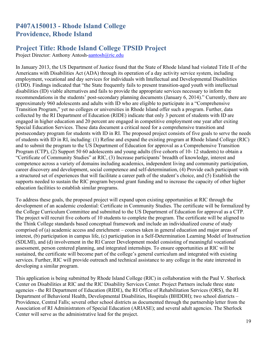# **P407A150013 - Rhode Island College Providence, Rhode Island**

# **Project Title: Rhode Island College TPSID Project**

Project Director: Anthony Antosh[-aantosh@ric.edu](mailto:aantosh@ric.edu)

In January 2013, the US Department of Justice found that the State of Rhode Island had violated Title II of the Americans with Disabilities Act (ADA) through its operation of a day activity service system, including employment, vocational and day services for individuals with Intellectual and Developmental Disabilities (I/DD). Findings indicated that "the State frequently fails to present transition-aged youth with intellectual disabilities (ID) viable alternatives and fails to provide the appropriate services necessary to inform the recommendations in the students' post-secondary planning documents (January 6, 2014)." Currently, there are approximately 960 adolescents and adults with ID who are eligible to participate in a "Comprehensive Transition Program," yet no colleges or universities in Rhode Island offer such a program. Further, data collected by the RI Department of Education (RIDE) indicate that only 3 percent of students with ID are engaged in higher education and 20 percent are engaged in competitive employment one year after exiting Special Education Services. These data document a critical need for a comprehensive transition and postsecondary program for students with ID in RI. The proposed project consists of five goals to serve the needs of students with ID in RI, including: (1) Refine and expand the existing program at Rhode Island College (RIC) and to submit the program to the US Department of Education for approval as a Comprehensive Transition Program (CTP), (2) Support 50 60 adolescents and young adults (five cohorts of 10- 12 students) to obtain a "Certificate of Community Studies" at RIC, (3) Increase participants' breadth of knowledge, interest and competence across a variety of domains including academics, independent living and community participation, career discovery and development, social competence and self-determination, (4) Provide each participant with a structured set of experiences that will facilitate a career path of the student's choice, and (5) Establish the supports needed to sustain the RIC program beyond grant funding and to increase the capacity of other higher education facilities to establish similar programs.

To address these goals, the proposed project will expand upon existing opportunities at RIC through the development of an academic credential: Certificate in Community Studies. The certificate will be formalized by the College Curriculum Committee and submitted to the US Department of Education for approval as a CTP. The project will recruit five cohorts of 10 students to complete the program. The certificate will be aligned to the Think College standards based conceptual framework and include an individualized course of study comprised of (a) academic access and enrichment – courses taken in general education and major areas of interest, (b) participation in campus life, (c) participation in a Self-Determination Learning Model of Instruction (SDLMI), and (d) involvement in the RI Career Development model consisting of meaningful vocational assessment, person centered planning, and integrated internships. To ensure opportunities at RIC will be sustained, the certificate will become part of the college's general curriculum and integrated with existing services. Further, RIC will provide outreach and technical assistance to any college in the state interested in developing a similar program.

This application is being submitted by Rhode Island College (RIC) in collaboration with the Paul V. Sherlock Center on Disabilities at RIC and the RIC Disability Services Center. Project Partners include three state agencies - the RI Department of Education (RIDE), the RI Office of Rehabilitation Services (ORS), the RI Department of Behavioral Health, Developmental Disabilities, Hospitals (BHDDH); two school districts – Providence, Central Falls; several other school districts as documented through the partnership letter from the Association of RI Administrators of Special Education (ARIASE); and several adult agencies. The Sherlock Center will serve as the administrative lead for the project.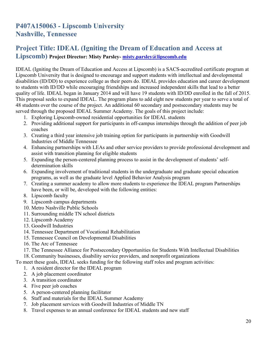# **P407A150063 - Lipscomb University Nashville, Tennessee**

# **Project Title: IDEAL (Igniting the Dream of Education and Access at**

**Lipscomb) Project Director: Misty Parsley- misty.parsley@lipscomb.edu**

IDEAL (Igniting the Dream of Education and Access at Lipscomb) is a SACS-accredited certificate program at Lipscomb University that is designed to encourage and support students with intellectual and developmental disabilities (ID/DD) to experience college as their peers do. IDEAL provides education and career development to students with ID/DD while encouraging friendships and increased independent skills that lead to a better quality of life. IDEAL began in January 2014 and will have 19 students with ID/DD enrolled in the fall of 2015. This proposal seeks to expand IDEAL. The program plans to add eight new students per year to serve a total of 48 students over the course of the project. An additional 60 secondary and postsecondary students may be served through the proposed IDEAL Summer Academy. The goals of this project include:

- 1. Exploring Lipscomb-owned residential opportunities for IDEAL students
- 2. Providing additional support for participants in off-campus internships through the addition of peer job coaches
- 3. Creating a third year intensive job training option for participants in partnership with Goodwill Industries of Middle Tennessee
- 4. Enhancing partnerships with LEAs and other service providers to provide professional development and assist with transition planning for eligible students
- 5. Expanding the person-centered planning process to assist in the development of students' selfdetermination skills
- 6. Expanding involvement of traditional students in the undergraduate and graduate special education programs, as well as the graduate level Applied Behavior Analysis program
- 7. Creating a summer academy to allow more students to experience the IDEAL program Partnerships have been, or will be, developed with the following entities:
- 8. Lipscomb faculty
- 9. Lipscomb campus departments
- 10. Metro Nashville Public Schools
- 11. Surrounding middle TN school districts
- 12. Lipscomb Academy
- 13. Goodwill Industries
- 14. Tennessee Department of Vocational Rehabilitation
- 15. Tennessee Council on Developmental Disabilities
- 16. The Arc of Tennessee
- 17. The Tennessee Alliance for Postsecondary Opportunities for Students With Intellectual Disabilities
- 18. Community businesses, disability service providers, and nonprofit organizations

To meet these goals, IDEAL seeks funding for the following staff roles and program activities:

- 1. A resident director for the IDEAL program
- 2. A job placement coordinator
- 3. A transition coordinator
- 4. Five peer job coaches
- 5. A person-centered planning facilitator
- 6. Staff and materials for the IDEAL Summer Academy
- 7. Job placement services with Goodwill Industries of Middle TN
- 8. Travel expenses to an annual conference for IDEAL students and new staff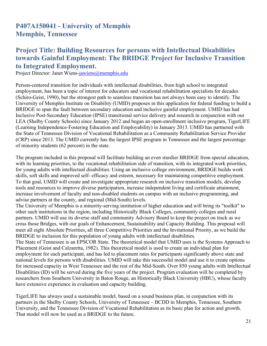### **P407A150041 - University of Memphis Memphis, Tennessee**

#### **Project Title: Building Resources for persons with Intellectual Disabilities towards Gainful Employment: The BRIDGE Project for Inclusive Transition to Integrated Employment.**

Project Director: Janet Wiens-jawiens@memphis.edu

Person-centered transition for individuals with intellectual disabilities, from high school to integrated employment, has been a topic of interest for educators and vocational rehabilitation specialists for decades (Schiro-Geist, 1990), but the strongest path to seamless transition has not always been easy to identify. The University of Memphis Institute on Disability (UMID) proposes in this application for federal funding to build a BRIDGE to span the fault between secondary education and inclusive gainful employment. UMID has had Inclusive Post-Secondary Education (IPSE) transitional service delivery and research in conjunction with our LEA (Shelby County Schools) since January 2012 and began an open-enrollment inclusive program, TigerLIFE (Learning Independence-Fostering Education and Employability) in January 2013. UMID has partnered with the State of Tennessee Division of Vocational Rehabilitation as a Community Rehabilitation Service Provider (CRP) since 2013. The UMID currently has the largest IPSE program in Tennessee and the largest percentage of minority students (62 percent) in the state.

The program included in this proposal will facilitate building an even sturdier BRIDGE from special education, with its learning priorities, to the vocational rehabilitation side of transition, with its integrated work priorities, for young adults with intellectual disabilities. Using an inclusive college environment, BRIDGE builds work skills, soft skills and improved self- efficacy and esteem, necessary for maintaining competitive employment. To that goal, UMID will create and investigate appropriate research on inclusive transition models, develop tools and resources to improve diverse participation, increase independent living and certificate attainment, increase involvement of faculty and non-disabled students on campus with an inclusive programming, and advise partners at the county, and regional (Mid-South) levels.

The University of Memphis is a minority-serving institution of higher education and will bring its "toolkit" to other such institutions in the region, including Historically Black Colleges, community colleges and rural partners. UMID will use its diverse staff and community Advisory Board to keep the project on track as we cross those Bridges, with our goals of Enhancement, Sustainability and Capacity Building. This proposal will meet all eight Absolute Priorities, all three Competitive Priorities and the Invitational Priority, as we build the BRIDGE to inclusion for this population of young adults with intellectual disabilities.

The State of Tennessee is an EPSCOR State. The theoretical model that UMID uses is the Systems Approach to Placement (Geist and Calzaretta, 1982). This theoretical model is used to create an individual plan for employment for each participant, and has led to placement rates for participants significantly above state and national levels for persons with disabilities. UMID will take this successful model and use it to create options for increased capacity in West Tennessee and the rest of the Mid-South. Over 850 young adults with Intellectual Disabilities (ID) will be served during the five years of the project. Program evaluation will be completed by researchers from Southern University in Baton Rouge, an Historically Black University (HBU), whose faculty have extensive experience in evaluation and capacity building.

TigerLIFE has always used a sustainable model, based on a sound business plan, in conjunction with its partners in the Shelby County Schools, University of Tennessee – BCDD in Memphis, Tennessee, Southern University, and the Tennessee Division of Vocational Rehabilitation as its basic plan for action and growth. That model will now be used as a BRIDGE to the future.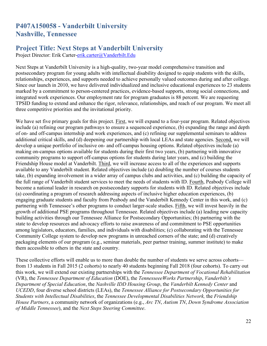# **P407A150058 - Vanderbilt University Nashville, Tennessee**

# **Project Title: Next Steps at Vanderbilt University**

Project Director: Erik Carter-erik.carter@Vanderbilt.Edu

Next Steps at Vanderbilt University is a high-quality, two-year model comprehensive transition and postsecondary program for young adults with intellectual disability designed to equip students with the skills, relationships, experiences, and supports needed to achieve personally valued outcomes during and after college. Since our launch in 2010, we have delivered individualized and inclusive educational experiences to 23 students marked by a commitment to person-centered practices, evidence-based supports, strong social connections, and integrated work experiences. Our employment rate for program graduates is 88 percent. We are requesting TPSID funding to extend and enhance the rigor, relevance, relationships, and reach of our program. We meet all three competitive priorities and the invitational priority.

We have set five primary goals for this project. First, we will expand to a four-year program. Related objectives include (a) refining our program pathways to ensure a sequenced experience, (b) expanding the range and depth of on- and off-campus internship and work experiences, and (c) refining our supplemental seminars to address additional critical skills, and (d) deepening our partnership with local LEAs and state agencies. Second, we will develop a unique portfolio of inclusive on- and off-campus housing options. Related objectives include (a) making on-campus options available for students during their first two years, (b) partnering with innovative community programs to support off-campus options for students during later years, and (c) building the Friendship House model at Vanderbilt. Third, we will increase access to all of the experiences and supports available to any Vanderbilt student. Related objectives include (a) doubling the number of courses students take, (b) expanding involvement in a wider array of campus clubs and activities, and (c) building the capacity of the full range of Vanderbilt student services to meet the needs of students with ID. Fourth, Peabody College will become a national leader in research on postsecondary supports for students with ID. Related objectives include (a) coordinating a program of research addressing aspects of inclusive higher education experiences, (b) engaging graduate students and faculty from Peabody and the Vanderbilt Kennedy Center in this work, and (c) partnering with Tennessee's other programs to conduct larger-scale studies. Fifth, we will invest heavily in the growth of additional PSE programs throughout Tennessee. Related objectives include (a) leading new capacity building activities through our Tennessee Alliance for Postsecondary Opportunities; (b) partnering with the state to develop resources and advocacy efforts to raise awareness of and commitment to PSE opportunities among legislators, educators, families, and individuals with disabilities; (c) collaborating with the Tennessee Community College system to develop new programs in unreached corners of the state; and (d) creatively packaging elements of our program (e.g., seminar materials, peer partner training, summer institute) to make them accessible to others in the state and country.

These collective efforts will enable us to more than double the number of students we serve across cohorts from 13 students in Fall 2015 (2 cohorts) to nearly 40 students beginning Fall 2018 (four cohorts). To carry out this work, we will extend our existing partnerships with the *Tennessee Department of Vocational Rehabilitation*  (VR), the *Tennessee Department of Education* (DOE), the *TennesseeeWorks Partnership*, *Vanderbilt's Department of Special Education*, the *Nashville IDD Housing Group*, the *Vanderbilt Kennedy Center* and *UCEDD*, four diverse school districts (LEAs), the *Tennessee Alliance for Postsecondary Opportunities for Students with Intellectual Disabilities*, the *Tennessee Developmental Disabilities Network,* the *Friendship House Partners*, a community network of organizations (e.g., *Arc TN*, *Autism TN*, *Down Syndrome Association of Middle Tennessee*), and the *Next Steps Steering Committee*.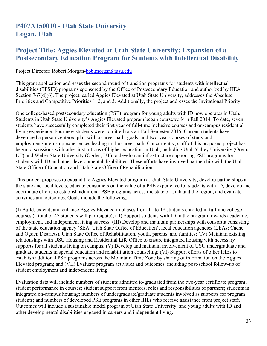# **P407A150010 - Utah State University Logan, Utah**

#### **Project Title: Aggies Elevated at Utah State University: Expansion of a Postsecondary Education Program for Students with Intellectual Disability**

#### Project Director: Robert Morgan-bob.morgan@usu.edu

This grant application addresses the second round of transition programs for students with intellectual disabilities (TPSID) programs sponsored by the Office of Postsecondary Education and authorized by HEA Section 767(d)(6). The project, called Aggies Elevated at Utah State University, addresses the Absolute Priorities and Competitive Priorities 1, 2, and 3. Additionally, the project addresses the Invitational Priority.

One college-based postsecondary education (PSE) program for young adults with ID now operates in Utah. Students in Utah State University's Aggies Elevated program began coursework in Fall 2014. To date, seven students have successfully completed their first year of full-time inclusive courses and on-campus residential living experience. Four new students were admitted to start Fall Semester 2015. Current students have developed a person-centered plan with a career path, goals, and two-year courses of study and employment/internship experiences leading to the career path. Concurrently, staff of this proposed project has begun discussions with other institutions of higher education in Utah, including Utah Valley University (Orem, UT) and Weber State University (Ogden, UT) to develop an infrastructure supporting PSE programs for students with ID and other developmental disabilities. These efforts have involved partnership with the Utah State Office of Education and Utah State Office of Rehabilitation.

This project proposes to expand the Aggies Elevated program at Utah State University, develop partnerships at the state and local levels, educate consumers on the value of a PSE experience for students with ID, develop and coordinate efforts to establish additional PSE programs across the state of Utah and the region, and evaluate activities and outcomes. Goals include the following:

(I) Build, extend, and enhance Aggies Elevated in phases from 11 to 18 students enrolled in fulltime college courses (a total of 47 students will participate); (II) Support students with ID in the program towards academic, employment, and independent living success; (III) Develop and maintain partnerships with consortia consisting of the state education agency (SEA: Utah State Office of Education), local education agencies (LEAs: Cache and Ogden Districts), Utah State Office of Rehabilitation, youth, parents, and families; (IV) Maintain existing relationships with USU Housing and Residential Life Office to ensure integrated housing with necessary supports for all students living on campus; (V) Develop and maintain involvement of USU undergraduate and graduate students in special education and rehabilitation counseling; (VI) Support efforts of other IHEs to establish additional PSE programs across the Mountain Time Zone by sharing of information on the Aggies Elevated program; and (VII) Evaluate program activities and outcomes, including post-school follow-up of student employment and independent living.

Evaluation data will include numbers of students admitted to/graduated from the two-year certificate program; student performance in courses; student support from mentors; roles and responsibilities of partners; students in integrated on-campus housing; numbers of undergraduate/graduate students involved as supports for program students; and numbers of developed PSE programs in other IHEs who receive assistance from project staff. Outcomes will include a sustainable model program at Utah State University, and young adults with ID and other developmental disabilities engaged in careers and independent living.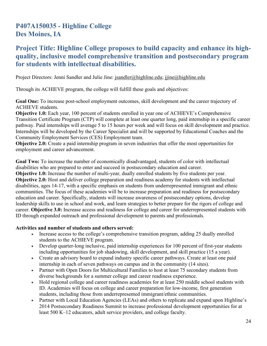# **P407A150035 - Highline College Des Moines, IA**

### **Project Title: Highline College proposes to build capacity and enhance its highquality, inclusive model comprehensive transition and postsecondary program for students with intellectual disabilities.**

Project Directors: Jenni Sandler and Julie Jine: [jsandler@highline.edu;](mailto:jsandler@highline.edu) [jjine@highline.edu](mailto:jjine@highline.edu)

Through its ACHIEVE program, the college will fulfill these goals and objectives:

**Goal One:** To increase post-school employment outcomes, skill development and the career trajectory of ACHIEVE students.

**Objective 1.0:** Each year, 100 percent of students enrolled in year one of ACHIEVE's Comprehensive Transition Certificate Program (CTP) will complete at least one quarter long, paid internship in a specific career pathway. Paid internships will average 5 to 15 hours per week and will focus on skill development and practice. Internships will be developed by the Career Specialist and will be supported by Educational Coaches and the Community Employment Services (CES) Employment team.

**Objective 2.0:** Create a paid internship program in seven industries that offer the most opportunities for employment and career advancement.

**Goal Two:** To increase the number of economically disadvantaged, students of color with intellectual disabilities who are prepared to enter and succeed in postsecondary education and career. **Objective 1.0:** Increase the number of multi-year, dually enrolled students by five students per year. **Objective 2.0:** Host and deliver college preparation and readiness academy for students with intellectual disabilities, ages 14-17, with a specific emphasis on students from underrepresented immigrant and ethnic communities. The focus of these academies will be to increase preparation and readiness for postsecondary education and career. Specifically, students will increase awareness of postsecondary options, develop leadership skills to use in school and work, and learn strategies to better prepare for the rigors of college and career. **Objective 3.0:** Increase access and readiness for college and career for underrepresented students with ID through expanded outreach and professional development to parents and professionals.

#### **Activities and number of students and others served:**

- Increase access to the college's comprehensive transition program, adding 25 dually enrolled students to the ACHIEVE program.
- Develop quarter-long inclusive, paid internship experiences for 100 percent of first-year students including opportunities for job shadowing, skill development, and skill practice (15 a year).
- Create an advisory board to expand industry specific career pathways. Create at least one paid internship in each of seven pathways on campus and in the community (14 sites).
- Partner with Open Doors for Multicultural Families to host at least 75 secondary students from diverse backgrounds for a summer college and career readiness experience.
- Hold regional college and career readiness academies for at least 250 middle school students with ID. Academies will focus on college and career preparation for low-income, first generation students, including those from underrepresented immigrant/ethnic communities.
- Partner with Local Education Agencies (LEAs) and others to replicate and expand upon Highline's 2014 Postsecondary Readiness Summit to increase professional development opportunities for at least 500 K–12 educators, adult service providers, and college faculty.